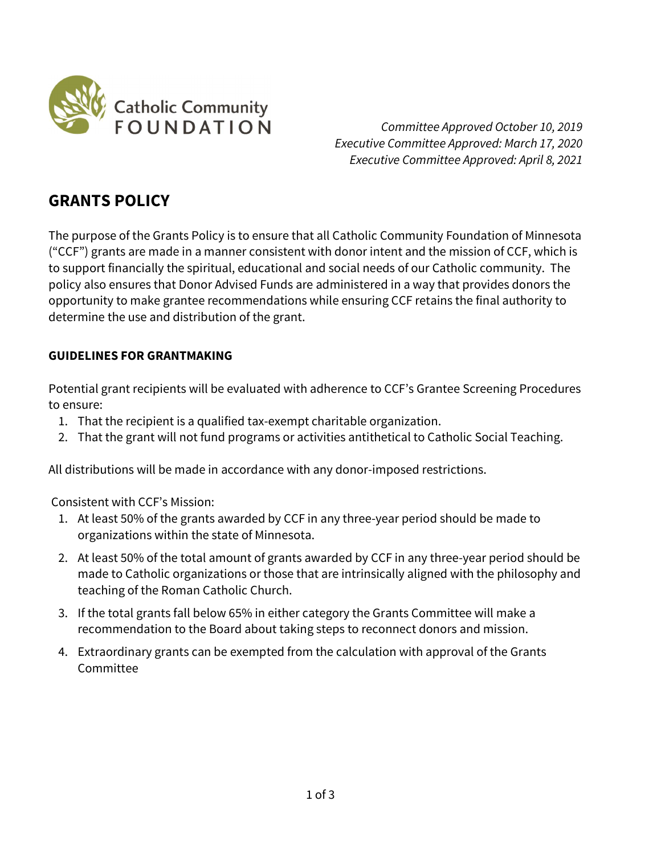

 Committee Approved October 10, 2019 Executive Committee Approved: March 17, 2020 Executive Committee Approved: April 8, 2021

# GRANTS POLICY

The purpose of the Grants Policy is to ensure that all Catholic Community Foundation of Minnesota ("CCF") grants are made in a manner consistent with donor intent and the mission of CCF, which is to support financially the spiritual, educational and social needs of our Catholic community. The policy also ensures that Donor Advised Funds are administered in a way that provides donors the opportunity to make grantee recommendations while ensuring CCF retains the final authority to determine the use and distribution of the grant.

## GUIDELINES FOR GRANTMAKING

Potential grant recipients will be evaluated with adherence to CCF's Grantee Screening Procedures to ensure:

- 1. That the recipient is a qualified tax-exempt charitable organization.
- 2. That the grant will not fund programs or activities antithetical to Catholic Social Teaching.

All distributions will be made in accordance with any donor-imposed restrictions.

Consistent with CCF's Mission:

- 1. At least 50% of the grants awarded by CCF in any three-year period should be made to organizations within the state of Minnesota.
- 2. At least 50% of the total amount of grants awarded by CCF in any three-year period should be made to Catholic organizations or those that are intrinsically aligned with the philosophy and teaching of the Roman Catholic Church.
- 3. If the total grants fall below 65% in either category the Grants Committee will make a recommendation to the Board about taking steps to reconnect donors and mission.
- 4. Extraordinary grants can be exempted from the calculation with approval of the Grants Committee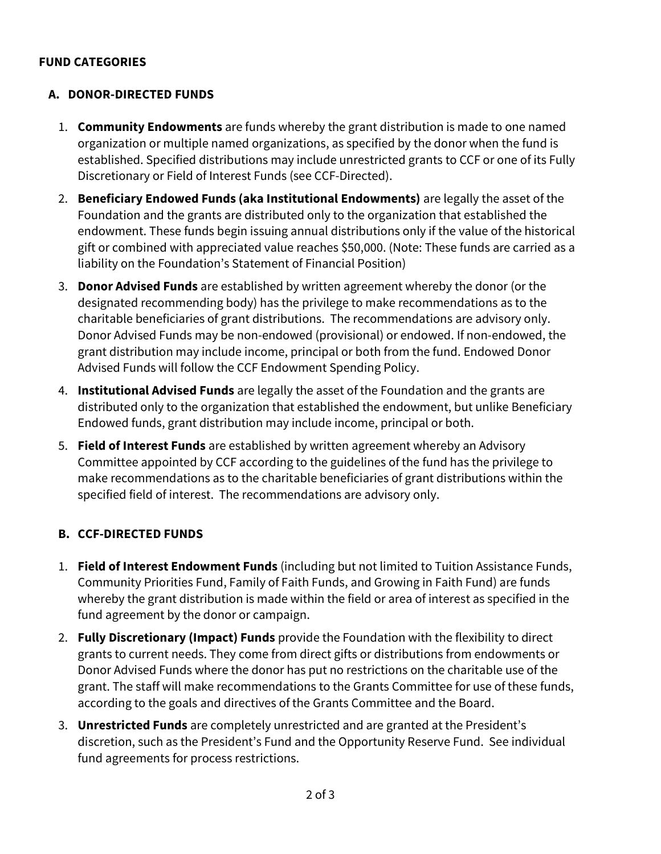#### FUND CATEGORIES

#### A. DONOR-DIRECTED FUNDS

- 1. **Community Endowments** are funds whereby the grant distribution is made to one named organization or multiple named organizations, as specified by the donor when the fund is established. Specified distributions may include unrestricted grants to CCF or one of its Fully Discretionary or Field of Interest Funds (see CCF-Directed).
- 2. Beneficiary Endowed Funds (aka Institutional Endowments) are legally the asset of the Foundation and the grants are distributed only to the organization that established the endowment. These funds begin issuing annual distributions only if the value of the historical gift or combined with appreciated value reaches \$50,000. (Note: These funds are carried as a liability on the Foundation's Statement of Financial Position)
- 3. **Donor Advised Funds** are established by written agreement whereby the donor (or the designated recommending body) has the privilege to make recommendations as to the charitable beneficiaries of grant distributions. The recommendations are advisory only. Donor Advised Funds may be non-endowed (provisional) or endowed. If non-endowed, the grant distribution may include income, principal or both from the fund. Endowed Donor Advised Funds will follow the CCF Endowment Spending Policy.
- 4. Institutional Advised Funds are legally the asset of the Foundation and the grants are distributed only to the organization that established the endowment, but unlike Beneficiary Endowed funds, grant distribution may include income, principal or both.
- 5. Field of Interest Funds are established by written agreement whereby an Advisory Committee appointed by CCF according to the guidelines of the fund has the privilege to make recommendations as to the charitable beneficiaries of grant distributions within the specified field of interest. The recommendations are advisory only.

#### B. CCF-DIRECTED FUNDS

- 1. Field of Interest Endowment Funds (including but not limited to Tuition Assistance Funds, Community Priorities Fund, Family of Faith Funds, and Growing in Faith Fund) are funds whereby the grant distribution is made within the field or area of interest as specified in the fund agreement by the donor or campaign.
- 2. Fully Discretionary (Impact) Funds provide the Foundation with the flexibility to direct grants to current needs. They come from direct gifts or distributions from endowments or Donor Advised Funds where the donor has put no restrictions on the charitable use of the grant. The staff will make recommendations to the Grants Committee for use of these funds, according to the goals and directives of the Grants Committee and the Board.
- 3. Unrestricted Funds are completely unrestricted and are granted at the President's discretion, such as the President's Fund and the Opportunity Reserve Fund. See individual fund agreements for process restrictions.